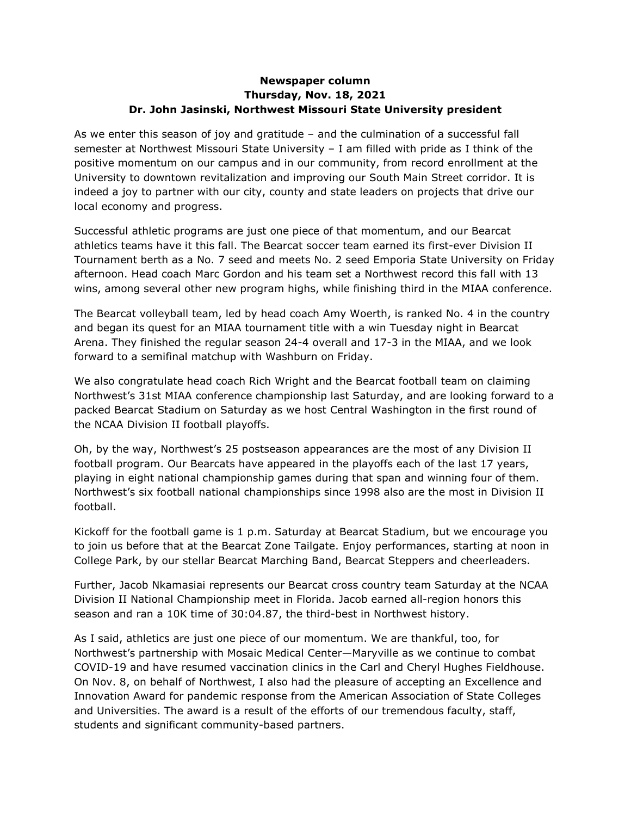## **Newspaper column Thursday, Nov. 18, 2021 Dr. John Jasinski, Northwest Missouri State University president**

As we enter this season of joy and gratitude – and the culmination of a successful fall semester at Northwest Missouri State University – I am filled with pride as I think of the positive momentum on our campus and in our community, from record enrollment at the University to downtown revitalization and improving our South Main Street corridor. It is indeed a joy to partner with our city, county and state leaders on projects that drive our local economy and progress.

Successful athletic programs are just one piece of that momentum, and our Bearcat athletics teams have it this fall. The Bearcat soccer team earned its first-ever Division II Tournament berth as a No. 7 seed and meets No. 2 seed Emporia State University on Friday afternoon. Head coach Marc Gordon and his team set a Northwest record this fall with 13 wins, among several other new program highs, while finishing third in the MIAA conference.

The Bearcat volleyball team, led by head coach Amy Woerth, is ranked No. 4 in the country and began its quest for an MIAA tournament title with a win Tuesday night in Bearcat Arena. They finished the regular season 24-4 overall and 17-3 in the MIAA, and we look forward to a semifinal matchup with Washburn on Friday.

We also congratulate head coach Rich Wright and the Bearcat football team on claiming Northwest's 31st MIAA conference championship last Saturday, and are looking forward to a packed Bearcat Stadium on Saturday as we host Central Washington in the first round of the NCAA Division II football playoffs.

Oh, by the way, Northwest's 25 postseason appearances are the most of any Division II football program. Our Bearcats have appeared in the playoffs each of the last 17 years, playing in eight national championship games during that span and winning four of them. Northwest's six football national championships since 1998 also are the most in Division II football.

Kickoff for the football game is 1 p.m. Saturday at Bearcat Stadium, but we encourage you to join us before that at the Bearcat Zone Tailgate. Enjoy performances, starting at noon in College Park, by our stellar Bearcat Marching Band, Bearcat Steppers and cheerleaders.

Further, Jacob Nkamasiai represents our Bearcat cross country team Saturday at the NCAA Division II National Championship meet in Florida. Jacob earned all-region honors this season and ran a 10K time of 30:04.87, the third-best in Northwest history.

As I said, athletics are just one piece of our momentum. We are thankful, too, for Northwest's partnership with Mosaic Medical Center—Maryville as we continue to combat COVID-19 and have resumed vaccination clinics in the Carl and Cheryl Hughes Fieldhouse. On Nov. 8, on behalf of Northwest, I also had the pleasure of accepting an Excellence and Innovation Award for pandemic response from the American Association of State Colleges and Universities. The award is a result of the efforts of our tremendous faculty, staff, students and significant community-based partners.